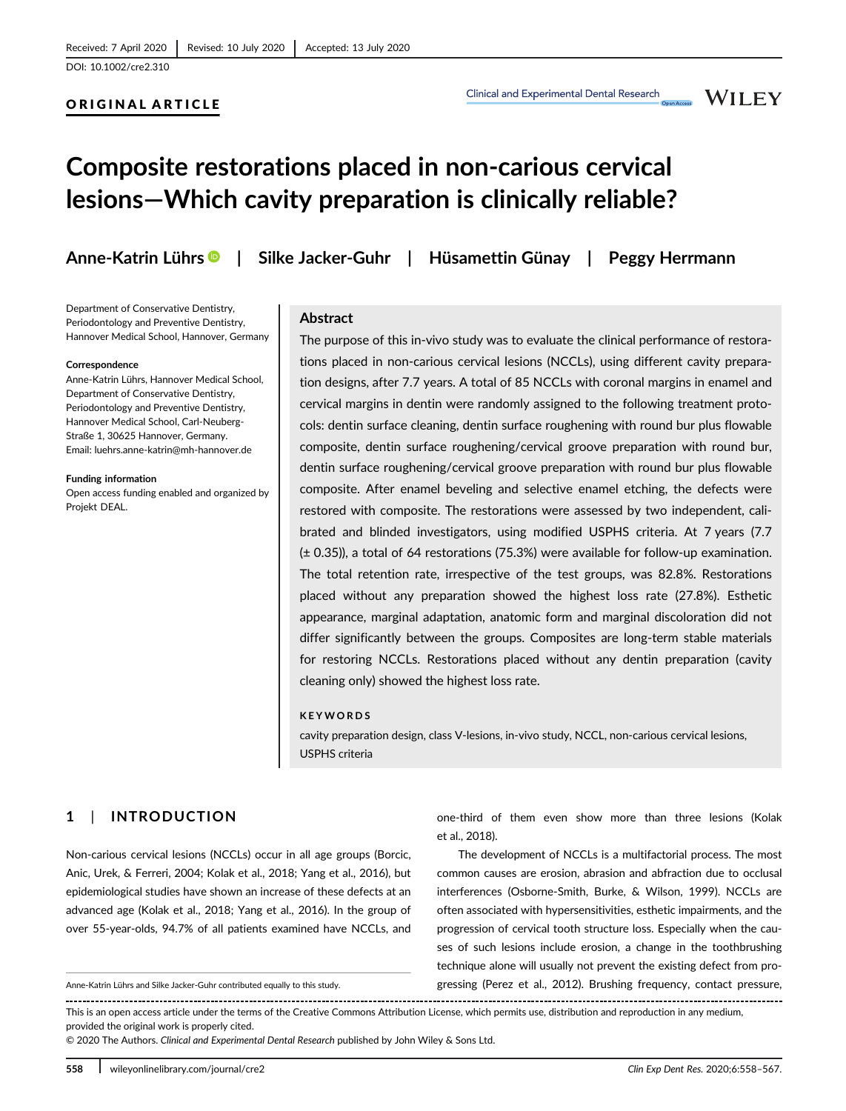**WILEY** 

# Composite restorations placed in non-carious cervical lesions—Which cavity preparation is clinically reliable?

ORIGINAL ARTICLE

Anne-Katrin Lührs | Silke Jacker-Guhr | Hüsamettin Günay | Peggy Herrmann

Department of Conservative Dentistry, Periodontology and Preventive Dentistry, Hannover Medical School, Hannover, Germany

#### Correspondence

Anne-Katrin Lührs, Hannover Medical School, Department of Conservative Dentistry, Periodontology and Preventive Dentistry, Hannover Medical School, Carl-Neuberg-Straße 1, 30625 Hannover, Germany. Email: luehrs.anne-katrin@mh-hannover.de

Funding information

Open access funding enabled and organized by Projekt DEAL.

#### Abstract

The purpose of this in-vivo study was to evaluate the clinical performance of restorations placed in non-carious cervical lesions (NCCLs), using different cavity preparation designs, after 7.7 years. A total of 85 NCCLs with coronal margins in enamel and cervical margins in dentin were randomly assigned to the following treatment protocols: dentin surface cleaning, dentin surface roughening with round bur plus flowable composite, dentin surface roughening/cervical groove preparation with round bur, dentin surface roughening/cervical groove preparation with round bur plus flowable composite. After enamel beveling and selective enamel etching, the defects were restored with composite. The restorations were assessed by two independent, calibrated and blinded investigators, using modified USPHS criteria. At 7 years (7.7 (± 0.35)), a total of 64 restorations (75.3%) were available for follow-up examination. The total retention rate, irrespective of the test groups, was 82.8%. Restorations placed without any preparation showed the highest loss rate (27.8%). Esthetic appearance, marginal adaptation, anatomic form and marginal discoloration did not differ significantly between the groups. Composites are long-term stable materials for restoring NCCLs. Restorations placed without any dentin preparation (cavity cleaning only) showed the highest loss rate.

#### KEYWORDS

cavity preparation design, class V-lesions, in-vivo study, NCCL, non-carious cervical lesions, USPHS criteria

# 1 | INTRODUCTION

Non-carious cervical lesions (NCCLs) occur in all age groups (Borcic, Anic, Urek, & Ferreri, 2004; Kolak et al., 2018; Yang et al., 2016), but epidemiological studies have shown an increase of these defects at an advanced age (Kolak et al., 2018; Yang et al., 2016). In the group of over 55-year-olds, 94.7% of all patients examined have NCCLs, and

one-third of them even show more than three lesions (Kolak et al., 2018).

The development of NCCLs is a multifactorial process. The most common causes are erosion, abrasion and abfraction due to occlusal interferences (Osborne-Smith, Burke, & Wilson, 1999). NCCLs are often associated with hypersensitivities, esthetic impairments, and the progression of cervical tooth structure loss. Especially when the causes of such lesions include erosion, a change in the toothbrushing technique alone will usually not prevent the existing defect from pro-Anne-Katrin Lührs and Silke Jacker-Guhr contributed equally to this study. gressing (Perez et al., 2012). Brushing frequency, contact pressure,

This is an open access article under the terms of the Creative Commons Attribution License, which permits use, distribution and reproduction in any medium, provided the original work is properly cited.

© 2020 The Authors. Clinical and Experimental Dental Research published by John Wiley & Sons Ltd.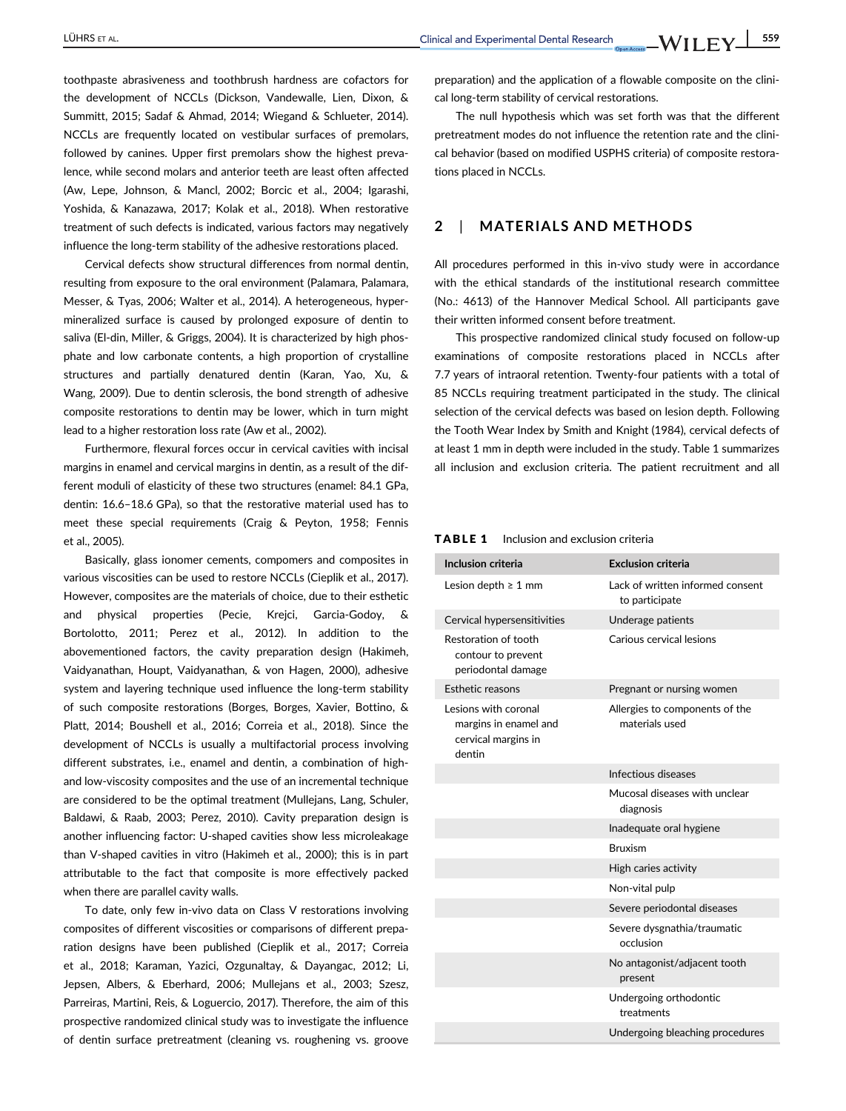toothpaste abrasiveness and toothbrush hardness are cofactors for the development of NCCLs (Dickson, Vandewalle, Lien, Dixon, & Summitt, 2015; Sadaf & Ahmad, 2014; Wiegand & Schlueter, 2014). NCCLs are frequently located on vestibular surfaces of premolars, followed by canines. Upper first premolars show the highest prevalence, while second molars and anterior teeth are least often affected (Aw, Lepe, Johnson, & Mancl, 2002; Borcic et al., 2004; Igarashi, Yoshida, & Kanazawa, 2017; Kolak et al., 2018). When restorative treatment of such defects is indicated, various factors may negatively influence the long-term stability of the adhesive restorations placed.

Cervical defects show structural differences from normal dentin, resulting from exposure to the oral environment (Palamara, Palamara, Messer, & Tyas, 2006; Walter et al., 2014). A heterogeneous, hypermineralized surface is caused by prolonged exposure of dentin to saliva (El-din, Miller, & Griggs, 2004). It is characterized by high phosphate and low carbonate contents, a high proportion of crystalline structures and partially denatured dentin (Karan, Yao, Xu, & Wang, 2009). Due to dentin sclerosis, the bond strength of adhesive composite restorations to dentin may be lower, which in turn might lead to a higher restoration loss rate (Aw et al., 2002).

Furthermore, flexural forces occur in cervical cavities with incisal margins in enamel and cervical margins in dentin, as a result of the different moduli of elasticity of these two structures (enamel: 84.1 GPa, dentin: 16.6–18.6 GPa), so that the restorative material used has to meet these special requirements (Craig & Peyton, 1958; Fennis et al., 2005).

Basically, glass ionomer cements, compomers and composites in various viscosities can be used to restore NCCLs (Cieplik et al., 2017). However, composites are the materials of choice, due to their esthetic and physical properties (Pecie, Krejci, Garcia-Godoy, & Bortolotto, 2011; Perez et al., 2012). In addition to the abovementioned factors, the cavity preparation design (Hakimeh, Vaidyanathan, Houpt, Vaidyanathan, & von Hagen, 2000), adhesive system and layering technique used influence the long-term stability of such composite restorations (Borges, Borges, Xavier, Bottino, & Platt, 2014; Boushell et al., 2016; Correia et al., 2018). Since the development of NCCLs is usually a multifactorial process involving different substrates, i.e., enamel and dentin, a combination of highand low-viscosity composites and the use of an incremental technique are considered to be the optimal treatment (Mullejans, Lang, Schuler, Baldawi, & Raab, 2003; Perez, 2010). Cavity preparation design is another influencing factor: U-shaped cavities show less microleakage than V-shaped cavities in vitro (Hakimeh et al., 2000); this is in part attributable to the fact that composite is more effectively packed when there are parallel cavity walls.

To date, only few in-vivo data on Class V restorations involving composites of different viscosities or comparisons of different preparation designs have been published (Cieplik et al., 2017; Correia et al., 2018; Karaman, Yazici, Ozgunaltay, & Dayangac, 2012; Li, Jepsen, Albers, & Eberhard, 2006; Mullejans et al., 2003; Szesz, Parreiras, Martini, Reis, & Loguercio, 2017). Therefore, the aim of this prospective randomized clinical study was to investigate the influence of dentin surface pretreatment (cleaning vs. roughening vs. groove preparation) and the application of a flowable composite on the clinical long-term stability of cervical restorations.

The null hypothesis which was set forth was that the different pretreatment modes do not influence the retention rate and the clinical behavior (based on modified USPHS criteria) of composite restorations placed in NCCLs.

# 2 | MATERIALS AND METHODS

All procedures performed in this in-vivo study were in accordance with the ethical standards of the institutional research committee (No.: 4613) of the Hannover Medical School. All participants gave their written informed consent before treatment.

This prospective randomized clinical study focused on follow-up examinations of composite restorations placed in NCCLs after 7.7 years of intraoral retention. Twenty-four patients with a total of 85 NCCLs requiring treatment participated in the study. The clinical selection of the cervical defects was based on lesion depth. Following the Tooth Wear Index by Smith and Knight (1984), cervical defects of at least 1 mm in depth were included in the study. Table 1 summarizes all inclusion and exclusion criteria. The patient recruitment and all

| Inclusion and exclusion criteria<br><b>TABLE 1</b> |  |
|----------------------------------------------------|--|
|----------------------------------------------------|--|

| Inclusion criteria                                                             | <b>Exclusion criteria</b>                          |
|--------------------------------------------------------------------------------|----------------------------------------------------|
| Lesion depth $\geq 1$ mm                                                       | Lack of written informed consent<br>to participate |
| Cervical hypersensitivities                                                    | Underage patients                                  |
| Restoration of tooth<br>contour to prevent<br>periodontal damage               | Carious cervical lesions                           |
| Esthetic reasons                                                               | Pregnant or nursing women                          |
| Lesions with coronal<br>margins in enamel and<br>cervical margins in<br>dentin | Allergies to components of the<br>materials used   |
|                                                                                | Infectious diseases                                |
|                                                                                | Mucosal diseases with unclear<br>diagnosis         |
|                                                                                | Inadequate oral hygiene                            |
|                                                                                | <b>Bruxism</b>                                     |
|                                                                                | High caries activity                               |
|                                                                                | Non-vital pulp                                     |
|                                                                                | Severe periodontal diseases                        |
|                                                                                | Severe dysgnathia/traumatic<br>occlusion           |
|                                                                                | No antagonist/adjacent tooth<br>present            |
|                                                                                | Undergoing orthodontic<br>treatments               |
|                                                                                | Undergoing bleaching procedures                    |
|                                                                                |                                                    |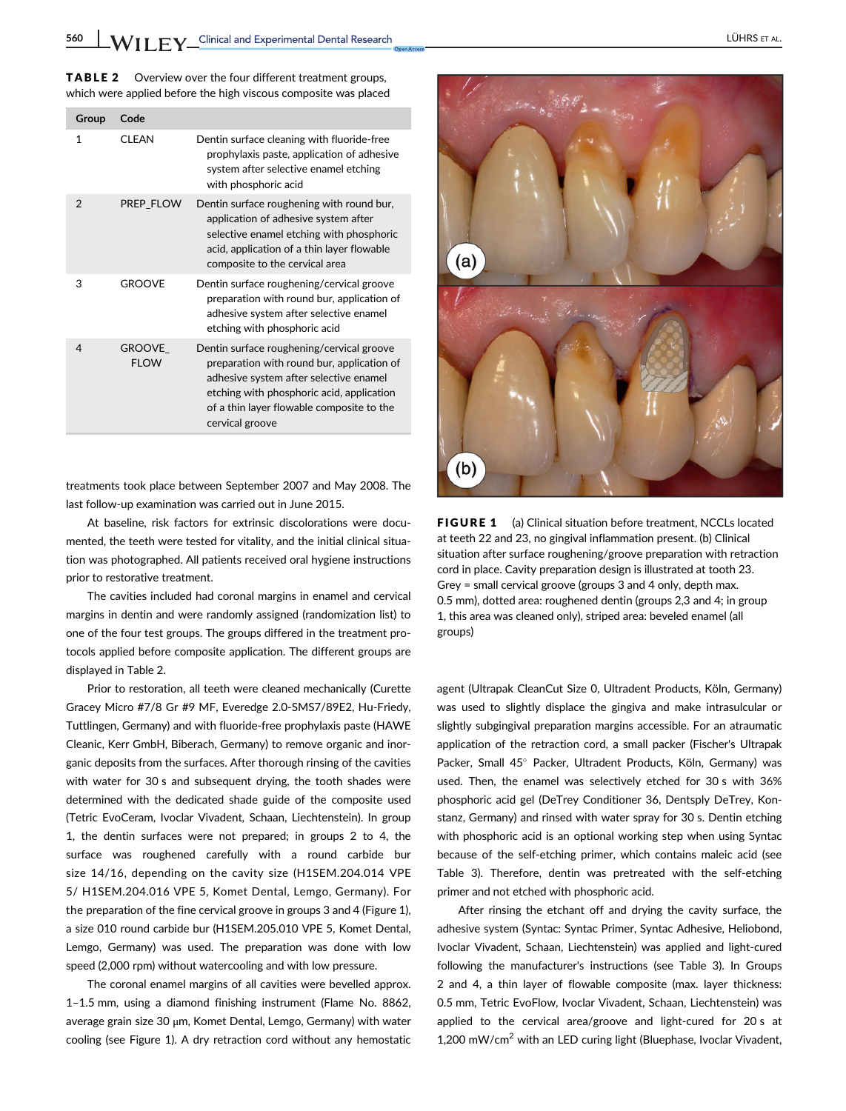TABLE 2 Overview over the four different treatment groups, which were applied before the high viscous composite was placed

| Group          | Code                         |                                                                                                                                                                                                                                                |
|----------------|------------------------------|------------------------------------------------------------------------------------------------------------------------------------------------------------------------------------------------------------------------------------------------|
| 1              | CI FAN                       | Dentin surface cleaning with fluoride-free<br>prophylaxis paste, application of adhesive<br>system after selective enamel etching<br>with phosphoric acid                                                                                      |
| $\mathfrak{D}$ | PREP FLOW                    | Dentin surface roughening with round bur,<br>application of adhesive system after<br>selective enamel etching with phosphoric<br>acid, application of a thin layer flowable<br>composite to the cervical area                                  |
| 3              | <b>GROOVE</b>                | Dentin surface roughening/cervical groove<br>preparation with round bur, application of<br>adhesive system after selective enamel<br>etching with phosphoric acid                                                                              |
| 4              | <b>GROOVE</b><br><b>FIOW</b> | Dentin surface roughening/cervical groove<br>preparation with round bur, application of<br>adhesive system after selective enamel<br>etching with phosphoric acid, application<br>of a thin layer flowable composite to the<br>cervical groove |

treatments took place between September 2007 and May 2008. The last follow-up examination was carried out in June 2015.

At baseline, risk factors for extrinsic discolorations were documented, the teeth were tested for vitality, and the initial clinical situation was photographed. All patients received oral hygiene instructions prior to restorative treatment.

The cavities included had coronal margins in enamel and cervical margins in dentin and were randomly assigned (randomization list) to one of the four test groups. The groups differed in the treatment protocols applied before composite application. The different groups are displayed in Table 2.

Prior to restoration, all teeth were cleaned mechanically (Curette Gracey Micro #7/8 Gr #9 MF, Everedge 2.0-SMS7/89E2, Hu-Friedy, Tuttlingen, Germany) and with fluoride-free prophylaxis paste (HAWE Cleanic, Kerr GmbH, Biberach, Germany) to remove organic and inorganic deposits from the surfaces. After thorough rinsing of the cavities with water for 30 s and subsequent drying, the tooth shades were determined with the dedicated shade guide of the composite used (Tetric EvoCeram, Ivoclar Vivadent, Schaan, Liechtenstein). In group 1, the dentin surfaces were not prepared; in groups 2 to 4, the surface was roughened carefully with a round carbide bur size 14/16, depending on the cavity size (H1SEM.204.014 VPE 5/ H1SEM.204.016 VPE 5, Komet Dental, Lemgo, Germany). For the preparation of the fine cervical groove in groups 3 and 4 (Figure 1), a size 010 round carbide bur (H1SEM.205.010 VPE 5, Komet Dental, Lemgo, Germany) was used. The preparation was done with low speed (2,000 rpm) without watercooling and with low pressure.

The coronal enamel margins of all cavities were bevelled approx. 1–1.5 mm, using a diamond finishing instrument (Flame No. 8862, average grain size 30 μm, Komet Dental, Lemgo, Germany) with water cooling (see Figure 1). A dry retraction cord without any hemostatic



**FIGURE 1** (a) Clinical situation before treatment, NCCLs located at teeth 22 and 23, no gingival inflammation present. (b) Clinical situation after surface roughening/groove preparation with retraction cord in place. Cavity preparation design is illustrated at tooth 23. Grey = small cervical groove (groups 3 and 4 only, depth max. 0.5 mm), dotted area: roughened dentin (groups 2,3 and 4; in group 1, this area was cleaned only), striped area: beveled enamel (all groups)

agent (Ultrapak CleanCut Size 0, Ultradent Products, Köln, Germany) was used to slightly displace the gingiva and make intrasulcular or slightly subgingival preparation margins accessible. For an atraumatic application of the retraction cord, a small packer (Fischer's Ultrapak Packer, Small 45° Packer, Ultradent Products, Köln, Germany) was used. Then, the enamel was selectively etched for 30 s with 36% phosphoric acid gel (DeTrey Conditioner 36, Dentsply DeTrey, Konstanz, Germany) and rinsed with water spray for 30 s. Dentin etching with phosphoric acid is an optional working step when using Syntac because of the self-etching primer, which contains maleic acid (see Table 3). Therefore, dentin was pretreated with the self-etching primer and not etched with phosphoric acid.

After rinsing the etchant off and drying the cavity surface, the adhesive system (Syntac: Syntac Primer, Syntac Adhesive, Heliobond, Ivoclar Vivadent, Schaan, Liechtenstein) was applied and light-cured following the manufacturer's instructions (see Table 3). In Groups 2 and 4, a thin layer of flowable composite (max. layer thickness: 0.5 mm, Tetric EvoFlow, Ivoclar Vivadent, Schaan, Liechtenstein) was applied to the cervical area/groove and light-cured for 20 s at 1,200 mW/cm<sup>2</sup> with an LED curing light (Bluephase, Ivoclar Vivadent,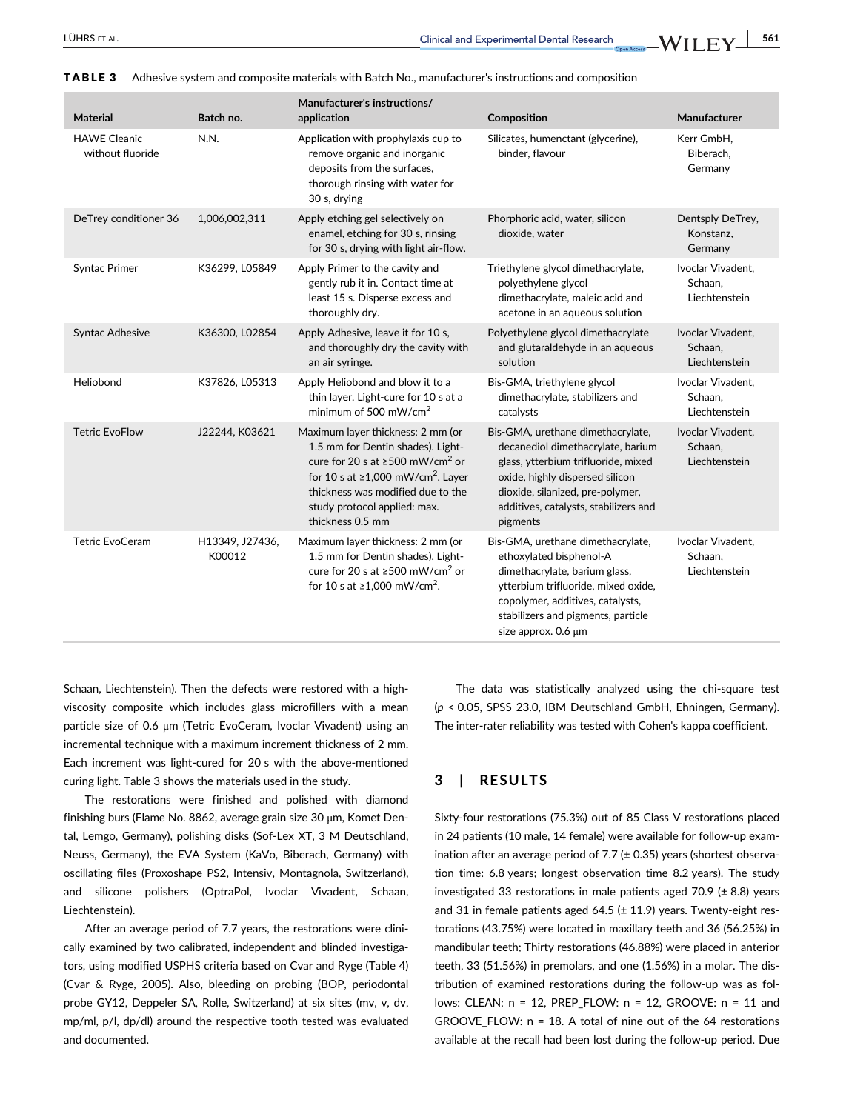| <b>Material</b>                         | Batch no.                 | Manufacturer's instructions/<br>application                                                                                                                                                                                                                                 | Composition                                                                                                                                                                                                                                | Manufacturer                                  |
|-----------------------------------------|---------------------------|-----------------------------------------------------------------------------------------------------------------------------------------------------------------------------------------------------------------------------------------------------------------------------|--------------------------------------------------------------------------------------------------------------------------------------------------------------------------------------------------------------------------------------------|-----------------------------------------------|
| <b>HAWE Cleanic</b><br>without fluoride | N.N.                      | Application with prophylaxis cup to<br>remove organic and inorganic<br>deposits from the surfaces,<br>thorough rinsing with water for<br>30 s, drying                                                                                                                       | Silicates, humenctant (glycerine),<br>binder, flavour                                                                                                                                                                                      | Kerr GmbH,<br>Biberach,<br>Germany            |
| DeTrey conditioner 36                   | 1,006,002,311             | Apply etching gel selectively on<br>enamel, etching for 30 s, rinsing<br>for 30 s, drying with light air-flow.                                                                                                                                                              | Phorphoric acid, water, silicon<br>dioxide, water                                                                                                                                                                                          | Dentsply DeTrey,<br>Konstanz,<br>Germany      |
| Syntac Primer                           | K36299, L05849            | Apply Primer to the cavity and<br>gently rub it in. Contact time at<br>least 15 s. Disperse excess and<br>thoroughly dry.                                                                                                                                                   | Triethylene glycol dimethacrylate,<br>polyethylene glycol<br>dimethacrylate, maleic acid and<br>acetone in an aqueous solution                                                                                                             | Ivoclar Vivadent,<br>Schaan,<br>Liechtenstein |
| <b>Syntac Adhesive</b>                  | K36300, L02854            | Apply Adhesive, leave it for 10 s,<br>and thoroughly dry the cavity with<br>an air syringe.                                                                                                                                                                                 | Polyethylene glycol dimethacrylate<br>and glutaraldehyde in an aqueous<br>solution                                                                                                                                                         | Ivoclar Vivadent,<br>Schaan,<br>Liechtenstein |
| Heliobond                               | K37826, L05313            | Apply Heliobond and blow it to a<br>thin layer. Light-cure for 10 s at a<br>minimum of 500 mW/cm <sup>2</sup>                                                                                                                                                               | Bis-GMA, triethylene glycol<br>dimethacrylate, stabilizers and<br>catalysts                                                                                                                                                                | Ivoclar Vivadent,<br>Schaan,<br>Liechtenstein |
| <b>Tetric EvoFlow</b>                   | J22244, K03621            | Maximum layer thickness: 2 mm (or<br>1.5 mm for Dentin shades). Light-<br>cure for 20 s at $\geq$ 500 mW/cm <sup>2</sup> or<br>for 10 s at $\geq$ 1,000 mW/cm <sup>2</sup> . Layer<br>thickness was modified due to the<br>study protocol applied: max.<br>thickness 0.5 mm | Bis-GMA, urethane dimethacrylate,<br>decanediol dimethacrylate, barium<br>glass, ytterbium trifluoride, mixed<br>oxide, highly dispersed silicon<br>dioxide, silanized, pre-polymer,<br>additives, catalysts, stabilizers and<br>pigments  | Ivoclar Vivadent,<br>Schaan,<br>Liechtenstein |
| <b>Tetric EvoCeram</b>                  | H13349, J27436,<br>K00012 | Maximum layer thickness: 2 mm (or<br>1.5 mm for Dentin shades). Light-<br>cure for 20 s at $\geq$ 500 mW/cm <sup>2</sup> or<br>for 10 s at $\geq 1,000$ mW/cm <sup>2</sup> .                                                                                                | Bis-GMA, urethane dimethacrylate,<br>ethoxylated bisphenol-A<br>dimethacrylate, barium glass,<br>ytterbium trifluoride, mixed oxide,<br>copolymer, additives, catalysts,<br>stabilizers and pigments, particle<br>size approx. $0.6 \mu m$ | Ivoclar Vivadent,<br>Schaan,<br>Liechtenstein |

TABLE 3 Adhesive system and composite materials with Batch No., manufacturer's instructions and composition

Schaan, Liechtenstein). Then the defects were restored with a highviscosity composite which includes glass microfillers with a mean particle size of 0.6 μm (Tetric EvoCeram, Ivoclar Vivadent) using an incremental technique with a maximum increment thickness of 2 mm. Each increment was light-cured for 20 s with the above-mentioned curing light. Table 3 shows the materials used in the study.

The restorations were finished and polished with diamond finishing burs (Flame No. 8862, average grain size 30 μm, Komet Dental, Lemgo, Germany), polishing disks (Sof-Lex XT, 3 M Deutschland, Neuss, Germany), the EVA System (KaVo, Biberach, Germany) with oscillating files (Proxoshape PS2, Intensiv, Montagnola, Switzerland), and silicone polishers (OptraPol, Ivoclar Vivadent, Schaan, Liechtenstein).

After an average period of 7.7 years, the restorations were clinically examined by two calibrated, independent and blinded investigators, using modified USPHS criteria based on Cvar and Ryge (Table 4) (Cvar & Ryge, 2005). Also, bleeding on probing (BOP, periodontal probe GY12, Deppeler SA, Rolle, Switzerland) at six sites (mv, v, dv, mp/ml, p/l, dp/dl) around the respective tooth tested was evaluated and documented.

The data was statistically analyzed using the chi-square test (p < 0.05, SPSS 23.0, IBM Deutschland GmbH, Ehningen, Germany). The inter-rater reliability was tested with Cohen's kappa coefficient.

# 3 | RESULTS

Sixty-four restorations (75.3%) out of 85 Class V restorations placed in 24 patients (10 male, 14 female) were available for follow-up examination after an average period of 7.7 ( $\pm$  0.35) years (shortest observation time: 6.8 years; longest observation time 8.2 years). The study investigated 33 restorations in male patients aged 70.9 (± 8.8) years and 31 in female patients aged 64.5  $(\pm 11.9)$  years. Twenty-eight restorations (43.75%) were located in maxillary teeth and 36 (56.25%) in mandibular teeth; Thirty restorations (46.88%) were placed in anterior teeth, 33 (51.56%) in premolars, and one (1.56%) in a molar. The distribution of examined restorations during the follow-up was as follows: CLEAN: n = 12, PREP\_FLOW: n = 12, GROOVE: n = 11 and GROOVE FLOW:  $n = 18$ . A total of nine out of the 64 restorations available at the recall had been lost during the follow-up period. Due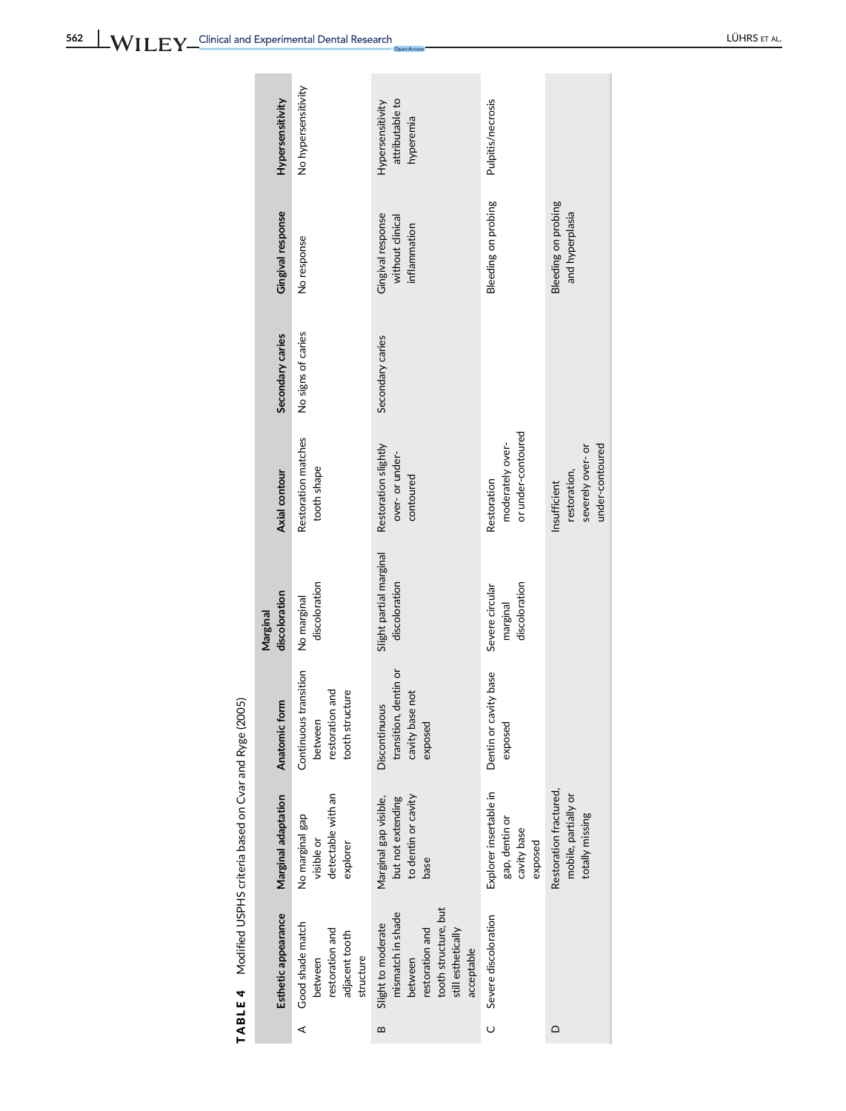| Š                              |
|--------------------------------|
| J<br>ĺ                         |
| -<br><<br><<br><<br><          |
| -<br>3<br>2<br>2<br>י<br>היה ה |
| 5                              |
|                                |
| $\frac{6}{7}$<br>)             |
| $\ddot{ }$                     |
| 4                              |
| TABLE                          |

| cavity base<br>exposed<br>visible or<br>explorer<br>base<br>tooth structure, but<br>Esthetic appearance<br>mismatch in shade<br>Severe discoloration<br>Good shade match<br>Slight to moderate<br>restoration and<br>restoration and<br>still esthetically<br>adjacent tooth<br>acceptable<br>between<br>structure<br>between | Hypersensitivity<br>Gingival response<br>Secondary caries<br>Axial contour<br>discoloration<br>Marginal<br>Anatomic form | No hypersensitivity<br>No response<br>No signs of caries<br>Restoration matches<br>tooth shape<br>discoloration<br>No marginal<br>Continuous transition<br>tooth structure<br>restoration and<br>between | attributable to<br>Hypersensitivity<br>hyperemia<br>Gingival response<br>without clinical<br>inflammation<br>Secondary caries<br>Restoration slightly<br>over- or under-<br>contoured<br>Slight partial marginal<br>discoloration<br>transition, dentin or<br>cavity base not<br>Discontinuous<br>exposed | Pulpitis/necrosis<br>Bleeding on probing<br>or under-contoured<br>moderately over-<br>Restoration<br>discoloration<br>Severe circular<br>marginal<br>Dentin or cavity base<br>exposed | <b>Bleeding on probing</b><br>and hyperplasia<br>severely over-or<br>restoration,<br>Insufficient |
|-------------------------------------------------------------------------------------------------------------------------------------------------------------------------------------------------------------------------------------------------------------------------------------------------------------------------------|--------------------------------------------------------------------------------------------------------------------------|----------------------------------------------------------------------------------------------------------------------------------------------------------------------------------------------------------|-----------------------------------------------------------------------------------------------------------------------------------------------------------------------------------------------------------------------------------------------------------------------------------------------------------|---------------------------------------------------------------------------------------------------------------------------------------------------------------------------------------|---------------------------------------------------------------------------------------------------|
|                                                                                                                                                                                                                                                                                                                               | Marginal adaptation                                                                                                      | detectable with an<br>No marginal gap                                                                                                                                                                    | to dentin or cavity<br>but not extending<br>Marginal gap visible,                                                                                                                                                                                                                                         | Explorer insertable in<br>gap, dentin or                                                                                                                                              | Restoration fractured,<br>mobile, partially or<br>totally missing                                 |
|                                                                                                                                                                                                                                                                                                                               |                                                                                                                          | ⋖                                                                                                                                                                                                        | $\mathbf{a}$                                                                                                                                                                                                                                                                                              | Ō                                                                                                                                                                                     |                                                                                                   |

under-contoured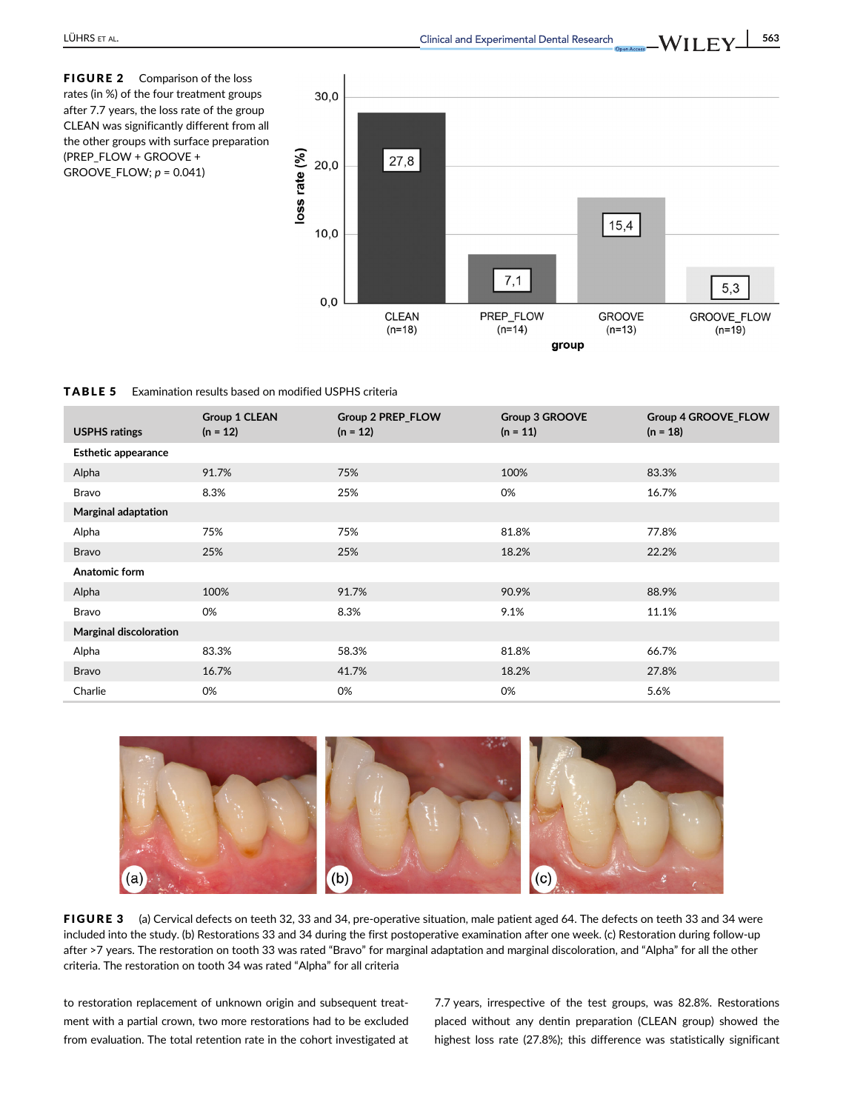

TABLE 5 Examination results based on modified USPHS criteria

| <b>USPHS ratings</b>          | Group 1 CLEAN<br>$(n = 12)$ | Group 2 PREP_FLOW<br>$(n = 12)$ | Group 3 GROOVE<br>$(n = 11)$ | Group 4 GROOVE_FLOW<br>$(n = 18)$ |
|-------------------------------|-----------------------------|---------------------------------|------------------------------|-----------------------------------|
| <b>Esthetic appearance</b>    |                             |                                 |                              |                                   |
| Alpha                         | 91.7%                       | 75%                             | 100%                         | 83.3%                             |
| Bravo                         | 8.3%                        | 25%                             | 0%                           | 16.7%                             |
| <b>Marginal adaptation</b>    |                             |                                 |                              |                                   |
| Alpha                         | 75%                         | 75%                             | 81.8%                        | 77.8%                             |
| <b>Bravo</b>                  | 25%                         | 25%                             | 18.2%                        | 22.2%                             |
| Anatomic form                 |                             |                                 |                              |                                   |
| Alpha                         | 100%                        | 91.7%                           | 90.9%                        | 88.9%                             |
| Bravo                         | 0%                          | 8.3%                            | 9.1%                         | 11.1%                             |
| <b>Marginal discoloration</b> |                             |                                 |                              |                                   |
| Alpha                         | 83.3%                       | 58.3%                           | 81.8%                        | 66.7%                             |
| <b>Bravo</b>                  | 16.7%                       | 41.7%                           | 18.2%                        | 27.8%                             |
| Charlie                       | 0%                          | 0%                              | 0%                           | 5.6%                              |



FIGURE 3 (a) Cervical defects on teeth 32, 33 and 34, pre-operative situation, male patient aged 64. The defects on teeth 33 and 34 were included into the study. (b) Restorations 33 and 34 during the first postoperative examination after one week. (c) Restoration during follow-up after >7 years. The restoration on tooth 33 was rated "Bravo" for marginal adaptation and marginal discoloration, and "Alpha" for all the other criteria. The restoration on tooth 34 was rated "Alpha" for all criteria

to restoration replacement of unknown origin and subsequent treatment with a partial crown, two more restorations had to be excluded from evaluation. The total retention rate in the cohort investigated at 7.7 years, irrespective of the test groups, was 82.8%. Restorations placed without any dentin preparation (CLEAN group) showed the highest loss rate (27.8%); this difference was statistically significant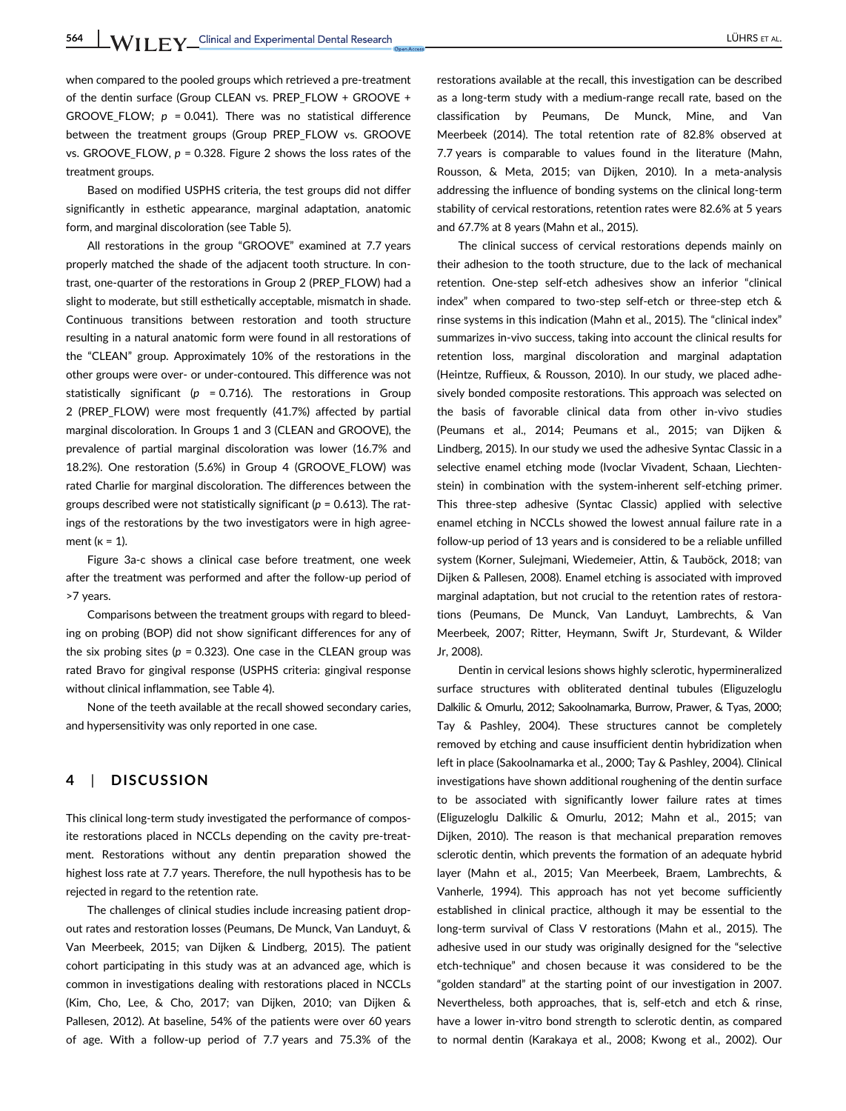when compared to the pooled groups which retrieved a pre-treatment of the dentin surface (Group CLEAN vs. PREP\_FLOW + GROOVE + GROOVE FLOW:  $p = 0.041$ ). There was no statistical difference between the treatment groups (Group PREP\_FLOW vs. GROOVE vs. GROOVE FLOW,  $p = 0.328$ . Figure 2 shows the loss rates of the treatment groups.

Based on modified USPHS criteria, the test groups did not differ significantly in esthetic appearance, marginal adaptation, anatomic form, and marginal discoloration (see Table 5).

All restorations in the group "GROOVE" examined at 7.7 years properly matched the shade of the adjacent tooth structure. In contrast, one-quarter of the restorations in Group 2 (PREP\_FLOW) had a slight to moderate, but still esthetically acceptable, mismatch in shade. Continuous transitions between restoration and tooth structure resulting in a natural anatomic form were found in all restorations of the "CLEAN" group. Approximately 10% of the restorations in the other groups were over- or under-contoured. This difference was not statistically significant ( $p = 0.716$ ). The restorations in Group 2 (PREP\_FLOW) were most frequently (41.7%) affected by partial marginal discoloration. In Groups 1 and 3 (CLEAN and GROOVE), the prevalence of partial marginal discoloration was lower (16.7% and 18.2%). One restoration (5.6%) in Group 4 (GROOVE\_FLOW) was rated Charlie for marginal discoloration. The differences between the groups described were not statistically significant ( $p = 0.613$ ). The ratings of the restorations by the two investigators were in high agreement ( $k = 1$ ).

Figure 3a-c shows a clinical case before treatment, one week after the treatment was performed and after the follow-up period of >7 years.

Comparisons between the treatment groups with regard to bleeding on probing (BOP) did not show significant differences for any of the six probing sites ( $p = 0.323$ ). One case in the CLEAN group was rated Bravo for gingival response (USPHS criteria: gingival response without clinical inflammation, see Table 4).

None of the teeth available at the recall showed secondary caries, and hypersensitivity was only reported in one case.

# 4 | DISCUSSION

This clinical long-term study investigated the performance of composite restorations placed in NCCLs depending on the cavity pre-treatment. Restorations without any dentin preparation showed the highest loss rate at 7.7 years. Therefore, the null hypothesis has to be rejected in regard to the retention rate.

The challenges of clinical studies include increasing patient dropout rates and restoration losses (Peumans, De Munck, Van Landuyt, & Van Meerbeek, 2015; van Dijken & Lindberg, 2015). The patient cohort participating in this study was at an advanced age, which is common in investigations dealing with restorations placed in NCCLs (Kim, Cho, Lee, & Cho, 2017; van Dijken, 2010; van Dijken & Pallesen, 2012). At baseline, 54% of the patients were over 60 years of age. With a follow-up period of 7.7 years and 75.3% of the restorations available at the recall, this investigation can be described as a long-term study with a medium-range recall rate, based on the classification by Peumans, De Munck, Mine, and Van Meerbeek (2014). The total retention rate of 82.8% observed at 7.7 years is comparable to values found in the literature (Mahn, Rousson, & Meta, 2015; van Dijken, 2010). In a meta-analysis addressing the influence of bonding systems on the clinical long-term stability of cervical restorations, retention rates were 82.6% at 5 years and 67.7% at 8 years (Mahn et al., 2015).

The clinical success of cervical restorations depends mainly on their adhesion to the tooth structure, due to the lack of mechanical retention. One-step self-etch adhesives show an inferior "clinical index" when compared to two-step self-etch or three-step etch & rinse systems in this indication (Mahn et al., 2015). The "clinical index" summarizes in-vivo success, taking into account the clinical results for retention loss, marginal discoloration and marginal adaptation (Heintze, Ruffieux, & Rousson, 2010). In our study, we placed adhesively bonded composite restorations. This approach was selected on the basis of favorable clinical data from other in-vivo studies (Peumans et al., 2014; Peumans et al., 2015; van Dijken & Lindberg, 2015). In our study we used the adhesive Syntac Classic in a selective enamel etching mode (Ivoclar Vivadent, Schaan, Liechtenstein) in combination with the system-inherent self-etching primer. This three-step adhesive (Syntac Classic) applied with selective enamel etching in NCCLs showed the lowest annual failure rate in a follow-up period of 13 years and is considered to be a reliable unfilled system (Korner, Sulejmani, Wiedemeier, Attin, & Tauböck, 2018; van Dijken & Pallesen, 2008). Enamel etching is associated with improved marginal adaptation, but not crucial to the retention rates of restorations (Peumans, De Munck, Van Landuyt, Lambrechts, & Van Meerbeek, 2007; Ritter, Heymann, Swift Jr, Sturdevant, & Wilder Jr, 2008).

Dentin in cervical lesions shows highly sclerotic, hypermineralized surface structures with obliterated dentinal tubules (Eliguzeloglu Dalkilic & Omurlu, 2012; Sakoolnamarka, Burrow, Prawer, & Tyas, 2000; Tay & Pashley, 2004). These structures cannot be completely removed by etching and cause insufficient dentin hybridization when left in place (Sakoolnamarka et al., 2000; Tay & Pashley, 2004). Clinical investigations have shown additional roughening of the dentin surface to be associated with significantly lower failure rates at times (Eliguzeloglu Dalkilic & Omurlu, 2012; Mahn et al., 2015; van Dijken, 2010). The reason is that mechanical preparation removes sclerotic dentin, which prevents the formation of an adequate hybrid layer (Mahn et al., 2015; Van Meerbeek, Braem, Lambrechts, & Vanherle, 1994). This approach has not yet become sufficiently established in clinical practice, although it may be essential to the long-term survival of Class V restorations (Mahn et al., 2015). The adhesive used in our study was originally designed for the "selective etch-technique" and chosen because it was considered to be the "golden standard" at the starting point of our investigation in 2007. Nevertheless, both approaches, that is, self-etch and etch & rinse, have a lower in-vitro bond strength to sclerotic dentin, as compared to normal dentin (Karakaya et al., 2008; Kwong et al., 2002). Our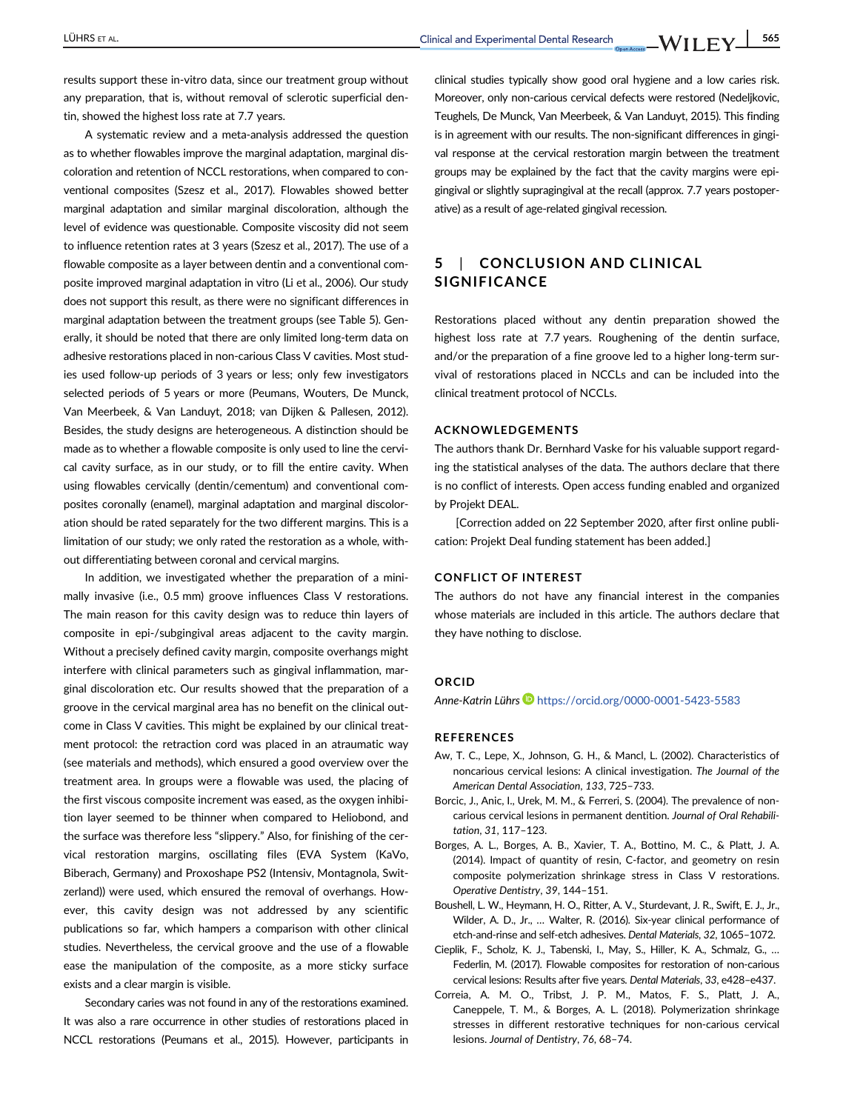results support these in-vitro data, since our treatment group without any preparation, that is, without removal of sclerotic superficial dentin, showed the highest loss rate at 7.7 years.

A systematic review and a meta-analysis addressed the question as to whether flowables improve the marginal adaptation, marginal discoloration and retention of NCCL restorations, when compared to conventional composites (Szesz et al., 2017). Flowables showed better marginal adaptation and similar marginal discoloration, although the level of evidence was questionable. Composite viscosity did not seem to influence retention rates at 3 years (Szesz et al., 2017). The use of a flowable composite as a layer between dentin and a conventional composite improved marginal adaptation in vitro (Li et al., 2006). Our study does not support this result, as there were no significant differences in marginal adaptation between the treatment groups (see Table 5). Generally, it should be noted that there are only limited long-term data on adhesive restorations placed in non-carious Class V cavities. Most studies used follow-up periods of 3 years or less; only few investigators selected periods of 5 years or more (Peumans, Wouters, De Munck, Van Meerbeek, & Van Landuyt, 2018; van Dijken & Pallesen, 2012). Besides, the study designs are heterogeneous. A distinction should be made as to whether a flowable composite is only used to line the cervical cavity surface, as in our study, or to fill the entire cavity. When using flowables cervically (dentin/cementum) and conventional composites coronally (enamel), marginal adaptation and marginal discoloration should be rated separately for the two different margins. This is a limitation of our study; we only rated the restoration as a whole, without differentiating between coronal and cervical margins.

In addition, we investigated whether the preparation of a minimally invasive (i.e., 0.5 mm) groove influences Class V restorations. The main reason for this cavity design was to reduce thin layers of composite in epi-/subgingival areas adjacent to the cavity margin. Without a precisely defined cavity margin, composite overhangs might interfere with clinical parameters such as gingival inflammation, marginal discoloration etc. Our results showed that the preparation of a groove in the cervical marginal area has no benefit on the clinical outcome in Class V cavities. This might be explained by our clinical treatment protocol: the retraction cord was placed in an atraumatic way (see materials and methods), which ensured a good overview over the treatment area. In groups were a flowable was used, the placing of the first viscous composite increment was eased, as the oxygen inhibition layer seemed to be thinner when compared to Heliobond, and the surface was therefore less "slippery." Also, for finishing of the cervical restoration margins, oscillating files (EVA System (KaVo, Biberach, Germany) and Proxoshape PS2 (Intensiv, Montagnola, Switzerland)) were used, which ensured the removal of overhangs. However, this cavity design was not addressed by any scientific publications so far, which hampers a comparison with other clinical studies. Nevertheless, the cervical groove and the use of a flowable ease the manipulation of the composite, as a more sticky surface exists and a clear margin is visible.

Secondary caries was not found in any of the restorations examined. It was also a rare occurrence in other studies of restorations placed in NCCL restorations (Peumans et al., 2015). However, participants in clinical studies typically show good oral hygiene and a low caries risk. Moreover, only non-carious cervical defects were restored (Nedeljkovic, Teughels, De Munck, Van Meerbeek, & Van Landuyt, 2015). This finding is in agreement with our results. The non-significant differences in gingival response at the cervical restoration margin between the treatment groups may be explained by the fact that the cavity margins were epigingival or slightly supragingival at the recall (approx. 7.7 years postoperative) as a result of age-related gingival recession.

# 5 | CONCLUSION AND CLINICAL SIGNIFICANCE

Restorations placed without any dentin preparation showed the highest loss rate at 7.7 years. Roughening of the dentin surface, and/or the preparation of a fine groove led to a higher long-term survival of restorations placed in NCCLs and can be included into the clinical treatment protocol of NCCLs.

#### ACKNOWLEDGEMENTS

The authors thank Dr. Bernhard Vaske for his valuable support regarding the statistical analyses of the data. The authors declare that there is no conflict of interests. Open access funding enabled and organized by Projekt DEAL.

[Correction added on 22 September 2020, after first online publication: Projekt Deal funding statement has been added.]

### CONFLICT OF INTEREST

The authors do not have any financial interest in the companies whose materials are included in this article. The authors declare that they have nothing to disclose.

#### **ORCID**

Anne-Katrin Lührs https://orcid.org/0000-0001-5423-5583

#### REFERENCES

- Aw, T. C., Lepe, X., Johnson, G. H., & Mancl, L. (2002). Characteristics of noncarious cervical lesions: A clinical investigation. The Journal of the American Dental Association, 133, 725–733.
- Borcic, J., Anic, I., Urek, M. M., & Ferreri, S. (2004). The prevalence of noncarious cervical lesions in permanent dentition. Journal of Oral Rehabilitation, 31, 117–123.
- Borges, A. L., Borges, A. B., Xavier, T. A., Bottino, M. C., & Platt, J. A. (2014). Impact of quantity of resin, C-factor, and geometry on resin composite polymerization shrinkage stress in Class V restorations. Operative Dentistry, 39, 144–151.
- Boushell, L. W., Heymann, H. O., Ritter, A. V., Sturdevant, J. R., Swift, E. J., Jr., Wilder, A. D., Jr., … Walter, R. (2016). Six-year clinical performance of etch-and-rinse and self-etch adhesives. Dental Materials, 32, 1065–1072.
- Cieplik, F., Scholz, K. J., Tabenski, I., May, S., Hiller, K. A., Schmalz, G., … Federlin, M. (2017). Flowable composites for restoration of non-carious cervical lesions: Results after five years. Dental Materials, 33, e428–e437.
- Correia, A. M. O., Tribst, J. P. M., Matos, F. S., Platt, J. A., Caneppele, T. M., & Borges, A. L. (2018). Polymerization shrinkage stresses in different restorative techniques for non-carious cervical lesions. Journal of Dentistry, 76, 68–74.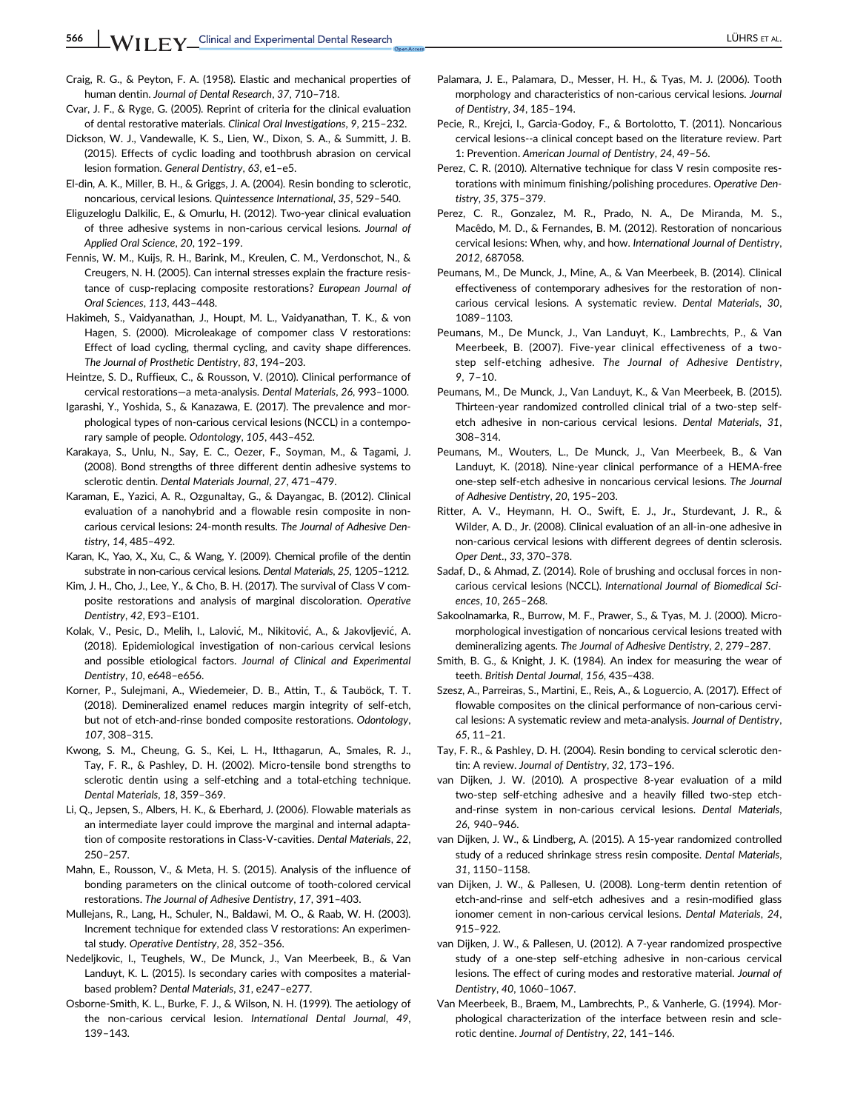Craig, R. G., & Peyton, F. A. (1958). Elastic and mechanical properties of human dentin. Journal of Dental Research, 37, 710–718.

- Cvar, J. F., & Ryge, G. (2005). Reprint of criteria for the clinical evaluation of dental restorative materials. Clinical Oral Investigations, 9, 215–232.
- Dickson, W. J., Vandewalle, K. S., Lien, W., Dixon, S. A., & Summitt, J. B. (2015). Effects of cyclic loading and toothbrush abrasion on cervical lesion formation. General Dentistry, 63, e1–e5.
- El-din, A. K., Miller, B. H., & Griggs, J. A. (2004). Resin bonding to sclerotic, noncarious, cervical lesions. Quintessence International, 35, 529–540.
- Eliguzeloglu Dalkilic, E., & Omurlu, H. (2012). Two-year clinical evaluation of three adhesive systems in non-carious cervical lesions. Journal of Applied Oral Science, 20, 192–199.
- Fennis, W. M., Kuijs, R. H., Barink, M., Kreulen, C. M., Verdonschot, N., & Creugers, N. H. (2005). Can internal stresses explain the fracture resistance of cusp-replacing composite restorations? European Journal of Oral Sciences, 113, 443–448.
- Hakimeh, S., Vaidyanathan, J., Houpt, M. L., Vaidyanathan, T. K., & von Hagen, S. (2000). Microleakage of compomer class V restorations: Effect of load cycling, thermal cycling, and cavity shape differences. The Journal of Prosthetic Dentistry, 83, 194–203.
- Heintze, S. D., Ruffieux, C., & Rousson, V. (2010). Clinical performance of cervical restorations—a meta-analysis. Dental Materials, 26, 993–1000.
- Igarashi, Y., Yoshida, S., & Kanazawa, E. (2017). The prevalence and morphological types of non-carious cervical lesions (NCCL) in a contemporary sample of people. Odontology, 105, 443–452.
- Karakaya, S., Unlu, N., Say, E. C., Oezer, F., Soyman, M., & Tagami, J. (2008). Bond strengths of three different dentin adhesive systems to sclerotic dentin. Dental Materials Journal, 27, 471–479.
- Karaman, E., Yazici, A. R., Ozgunaltay, G., & Dayangac, B. (2012). Clinical evaluation of a nanohybrid and a flowable resin composite in noncarious cervical lesions: 24-month results. The Journal of Adhesive Dentistry, 14, 485–492.
- Karan, K., Yao, X., Xu, C., & Wang, Y. (2009). Chemical profile of the dentin substrate in non-carious cervical lesions. Dental Materials, 25, 1205–1212.
- Kim, J. H., Cho, J., Lee, Y., & Cho, B. H. (2017). The survival of Class V composite restorations and analysis of marginal discoloration. Operative Dentistry, 42, E93–E101.
- Kolak, V., Pesic, D., Melih, I., Lalovic, M., Nikitovic, A., & Jakovljevic, A. (2018). Epidemiological investigation of non-carious cervical lesions and possible etiological factors. Journal of Clinical and Experimental Dentistry, 10, e648–e656.
- Korner, P., Sulejmani, A., Wiedemeier, D. B., Attin, T., & Tauböck, T. T. (2018). Demineralized enamel reduces margin integrity of self-etch, but not of etch-and-rinse bonded composite restorations. Odontology, 107, 308–315.
- Kwong, S. M., Cheung, G. S., Kei, L. H., Itthagarun, A., Smales, R. J., Tay, F. R., & Pashley, D. H. (2002). Micro-tensile bond strengths to sclerotic dentin using a self-etching and a total-etching technique. Dental Materials, 18, 359–369.
- Li, Q., Jepsen, S., Albers, H. K., & Eberhard, J. (2006). Flowable materials as an intermediate layer could improve the marginal and internal adaptation of composite restorations in Class-V-cavities. Dental Materials, 22, 250–257.
- Mahn, E., Rousson, V., & Meta, H. S. (2015). Analysis of the influence of bonding parameters on the clinical outcome of tooth-colored cervical restorations. The Journal of Adhesive Dentistry, 17, 391–403.
- Mullejans, R., Lang, H., Schuler, N., Baldawi, M. O., & Raab, W. H. (2003). Increment technique for extended class V restorations: An experimental study. Operative Dentistry, 28, 352–356.
- Nedeljkovic, I., Teughels, W., De Munck, J., Van Meerbeek, B., & Van Landuyt, K. L. (2015). Is secondary caries with composites a materialbased problem? Dental Materials, 31, e247–e277.
- Osborne-Smith, K. L., Burke, F. J., & Wilson, N. H. (1999). The aetiology of the non-carious cervical lesion. International Dental Journal, 49, 139–143.
- Palamara, J. E., Palamara, D., Messer, H. H., & Tyas, M. J. (2006). Tooth morphology and characteristics of non-carious cervical lesions. Journal of Dentistry, 34, 185–194.
- Pecie, R., Krejci, I., Garcia-Godoy, F., & Bortolotto, T. (2011). Noncarious cervical lesions--a clinical concept based on the literature review. Part 1: Prevention. American Journal of Dentistry, 24, 49–56.
- Perez, C. R. (2010). Alternative technique for class V resin composite restorations with minimum finishing/polishing procedures. Operative Dentistry, 35, 375–379.
- Perez, C. R., Gonzalez, M. R., Prado, N. A., De Miranda, M. S., Macêdo, M. D., & Fernandes, B. M. (2012). Restoration of noncarious cervical lesions: When, why, and how. International Journal of Dentistry, 2012, 687058.
- Peumans, M., De Munck, J., Mine, A., & Van Meerbeek, B. (2014). Clinical effectiveness of contemporary adhesives for the restoration of noncarious cervical lesions. A systematic review. Dental Materials, 30, 1089–1103.
- Peumans, M., De Munck, J., Van Landuyt, K., Lambrechts, P., & Van Meerbeek, B. (2007). Five-year clinical effectiveness of a twostep self-etching adhesive. The Journal of Adhesive Dentistry, 9, 7–10.
- Peumans, M., De Munck, J., Van Landuyt, K., & Van Meerbeek, B. (2015). Thirteen-year randomized controlled clinical trial of a two-step selfetch adhesive in non-carious cervical lesions. Dental Materials, 31, 308–314.
- Peumans, M., Wouters, L., De Munck, J., Van Meerbeek, B., & Van Landuyt, K. (2018). Nine-year clinical performance of a HEMA-free one-step self-etch adhesive in noncarious cervical lesions. The Journal of Adhesive Dentistry, 20, 195–203.
- Ritter, A. V., Heymann, H. O., Swift, E. J., Jr., Sturdevant, J. R., & Wilder, A. D., Jr. (2008). Clinical evaluation of an all-in-one adhesive in non-carious cervical lesions with different degrees of dentin sclerosis. Oper Dent., 33, 370–378.
- Sadaf, D., & Ahmad, Z. (2014). Role of brushing and occlusal forces in noncarious cervical lesions (NCCL). International Journal of Biomedical Sciences, 10, 265–268.
- Sakoolnamarka, R., Burrow, M. F., Prawer, S., & Tyas, M. J. (2000). Micromorphological investigation of noncarious cervical lesions treated with demineralizing agents. The Journal of Adhesive Dentistry, 2, 279–287.
- Smith, B. G., & Knight, J. K. (1984). An index for measuring the wear of teeth. British Dental Journal, 156, 435–438.
- Szesz, A., Parreiras, S., Martini, E., Reis, A., & Loguercio, A. (2017). Effect of flowable composites on the clinical performance of non-carious cervical lesions: A systematic review and meta-analysis. Journal of Dentistry, 65, 11–21.
- Tay, F. R., & Pashley, D. H. (2004). Resin bonding to cervical sclerotic dentin: A review. Journal of Dentistry, 32, 173–196.
- van Dijken, J. W. (2010). A prospective 8-year evaluation of a mild two-step self-etching adhesive and a heavily filled two-step etchand-rinse system in non-carious cervical lesions. Dental Materials, 26, 940–946.
- van Dijken, J. W., & Lindberg, A. (2015). A 15-year randomized controlled study of a reduced shrinkage stress resin composite. Dental Materials, 31, 1150–1158.
- van Dijken, J. W., & Pallesen, U. (2008). Long-term dentin retention of etch-and-rinse and self-etch adhesives and a resin-modified glass ionomer cement in non-carious cervical lesions. Dental Materials, 24, 915–922.
- van Dijken, J. W., & Pallesen, U. (2012). A 7-year randomized prospective study of a one-step self-etching adhesive in non-carious cervical lesions. The effect of curing modes and restorative material. Journal of Dentistry, 40, 1060–1067.
- Van Meerbeek, B., Braem, M., Lambrechts, P., & Vanherle, G. (1994). Morphological characterization of the interface between resin and sclerotic dentine. Journal of Dentistry, 22, 141–146.